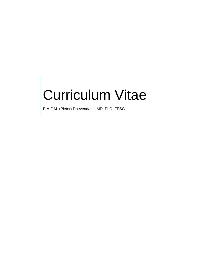# Curriculum Vitae

P.A.F.M. (Pieter) Doevendans, MD, PhD, FESC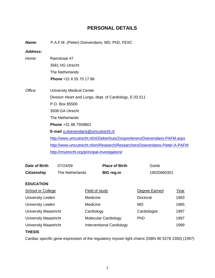# **PERSONAL DETAILS**

*Name:* P.A.F.M. (Pieter) Doevendans, MD, PhD, FESC *Address: Home:* Ramstraat 47 3581 HG Utrecht The Netherlands **Phone** +31 6 55 75 17 86 *Office:* University Medical Center Division Heart and Lungs, dept. of Cardiology, E 03.511 P.O. Box 85500 3508 GA Utrecht The Netherlands **Phone** +31 88 7559801 **E-mail** [p.doevendans@umcutrecht.nl](mailto:p.doevendans@umcutrecht.nl) <http://www.umcutrecht.nl/nl/Ziekenhuis/Zorgverleners/Doevendans-PAFM.aspx> <http://www.umcutrecht.nl/en/Research/Researchers/Doevendans-Pieter-A-PAFM> <http://rmutrecht.org/principal-investigators/>

| Date of Birth                | 07/24/59        |                | <b>Place of Birth</b>            | Goirle        |             |
|------------------------------|-----------------|----------------|----------------------------------|---------------|-------------|
| <b>Citizenship</b>           | The Netherlands |                | <b>BIG reg.nr</b>                | 19020660301   |             |
| <b>EDUCATION</b>             |                 |                |                                  |               |             |
| School or College            |                 | Field of study |                                  | Degree Earned | <u>Year</u> |
| <b>University Leiden</b>     |                 | Medicine       |                                  | Doctoral      | 1983        |
| <b>University Leiden</b>     |                 | Medicine       |                                  | MD            | 1985        |
| <b>University Maastricht</b> |                 | Cardiology     |                                  | Cardiologist  | 1997        |
| <b>University Maastricht</b> |                 |                | <b>Molecular Cardiology</b>      | <b>PhD</b>    | 1997        |
| University Maastricht        |                 |                | <b>Interventional Cardiology</b> |               | 1999        |

#### **THESIS**

Cardiac specific gene expression of the regulatory myosin light chains (ISBN 90 5278 2350) (1997)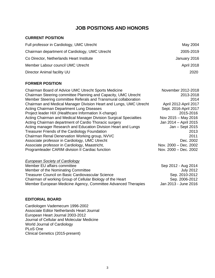# **JOB POSITIONS AND HONORS**

## **CURRENT POSITION**

| Full professor in Cardiology, UMC Utrecht      | May 2004          |
|------------------------------------------------|-------------------|
| Chairman department of Cardiology, UMC Utrecht | 2005-2019         |
| Co Director, Netherlands Heart Institute       | January 2016      |
| Member Labour council UMC Utrecht              | <b>April 2018</b> |
| Director Animal facility UU                    | 2020              |
|                                                |                   |

### **FORMER POSITION**

| Chairman Board of Advice UMC Utrecht Sports Medicine               | November 2012-2018    |
|--------------------------------------------------------------------|-----------------------|
| Chairman Steering committee Planning and Capacity, UMC Utrecht     | 2013-2018             |
| Member Steering committee Referals and Transmural collaboration    | 2014                  |
| Chairman and Medical Manager Division Heart and Lungs, UMC Utrecht | April 2012-April 2017 |
| Acting Chairman Department Lung Diseases                           | Sept. 2016-April 2017 |
| Project leader HiX (Healthcare Information X-change)               | 2015-2016             |
| Acting Chairman and Medical Manager Division Surgical Specialties  | Nov 2015 - May 2016   |
| Acting Chairman department of Cardio Thoracic surgery              | Jan 2014 - April 2015 |
| Acting manager Research and Education Division Heart and Lungs     | Jan - Sept 2015       |
| Treasurer Friends of the Cardiology Foundation                     | 2013                  |
| Chairman Renal Denervation Working group, NVVC                     | 2011                  |
| Associate professor in Cardiology, UMC Utrecht                     | Dec. 2002             |
| Associate professor in Cardiology, Maastricht,                     | Nov. 2000 - Dec. 2002 |
| Programleader CARIM division II Cardiac function                   | Nov. 2000 - Dec. 2002 |

| European Society of Cardiology                                |                      |
|---------------------------------------------------------------|----------------------|
| Member EU affairs committee                                   | Sep 2012 - Aug 2014  |
| Member of the Nominating Committee                            | July 2012            |
| <b>Treasurer Council on Basic Cardiovascular Science</b>      | Sep. 2010-2012       |
| Chairman of working Group of Cellular Biology of the Heart    | Sep. 2006-2012       |
| Member European Medicine Agency, Committee Advanced Therapies | Jan 2013 - June 2016 |

#### **EDITORIAL BOARD**

Cardiologen Vademecum 1996-2002 Associate Editor Netherlands Heart Journal European Heart Journal 2003-2012 Journal of Cellular and Molecular Medicine World Journal of Cardiology PLoS One Clinical Genetics (2015-present)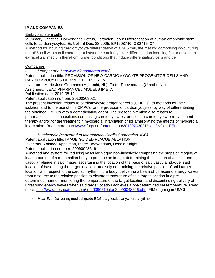### **IP AND COMPANIES**

#### Embryonic stem cells

[Mummery Christine,](http://www.patentmaps.com/inventor/Mummery_Christine_Lindsay_1.html) [Doevendans Petrus,](http://www.patentmaps.com/inventor/Doevendans_Petrus_Adrianus_Fre_1.html) [Tertoolen Leon:](http://www.patentmaps.com/inventor/Tertoolen_Leon_Gerardus_Joseph_1.html) [Differentiation of human embryonic stem](http://www.patentmaps.com/topic/Differentiation_of_human_embryonic_stem_cells_to_cardiomyocytes_1.html)  [cells to cardiomyocytes.](http://www.patentmaps.com/topic/Differentiation_of_human_embryonic_stem_cells_to_cardiomyocytes_1.html) [Es Cell Int](http://www.patentmaps.com/assignee/Es_Cell_Int_1.html) [Dec, 28 2005:](http://www.patentmaps.com/date/20051228_1.html) [EP1608740;](http://www.directorypatent.com/EP/EP1608740.html) [GB2415437](http://www.directorypatent.com/GB/GB2415437.html)

A method for inducing cardiomyocyte differentiation of a hES cell, the method comprising co-culturing the hES cell with a cell excreting at least one cardiomyocyte differentiation inducing factor or with an extracellular medium therefrom, under conditions that induce differentiation, cells and cell...

### Companies

- *Leadpharma<http://www.leadpharma.com/>*

Patent application title: PROVISION OF NEW CARDIOMYOCYTE PROGENITOR CELLS AND CARDIOMYOCYTES DERIVED THEREFROM

Inventors: Marie Jose Goumans (Mijdrecht, NL) [Pieter Doevendans](http://www.faqs.org/patents/inventor/pieter-7/) (Utrecht, NL)

Assignees: [LEAD PHARMA CEL MODELS IP B.V.](http://www.faqs.org/patents/assignee/lead-pharma-cel-models-ip-bv/)

Publication date: 2010-08-12

Patent application number: 20100203021

The present invention relates to cardiomyocyte progenitor cells (CMPCs), to methods for their isolation and to the use of this CMPCs for the provision of cardiomyocytes, by way of differentiating the obtained CMPCs with a demethylating agent. The present invention also relates to pharmaceuticals compositions comprising cardiomyocytes for use in a cardiomyocyte replacement therapy and/or for the treatment in myocardial infarctation or for ameliorating the effects of myocardial infarctation. Read more: <http://www.faqs.org/patents/app/20100203021#ixzz2NQdhrREm>

- *Dutchcardio (converted to International Cardio Corporation, ICC)*

Patent application title: IMAGE GUIDED PLAQUE ABLATION

Inventors: Yolande Appelman, Pieter Doevendans, Donald Knight

Patent application number: 20090048546

A method and system for reducing vascular plaque non-invasively comprising the steps of imaging at least a portion of a mammalian body to produce an image; determining the location of at least one vascular plaque in said image; ascertaining the location of the base of said vascular plaque, said location of base being the target location; precisely determining the relative position of said target location with respect to the cardiac rhythm in the body; delivering a beam of ultrasound energy waves from a source to the relative position to elevate temperature of said target location in a predetermined manner; monitoring the temperature of the target location; and discontinuing delivery of ultrasound energy waves when said target location achieves a pre-determined set temperature. Read more: [http://www.freshpatents.com/-dt20090219ptan20090048546.php.](http://www.freshpatents.com/-dt20090219ptan20090048546.php) FIM ongoing in UMCU

HeartEye: Delivering medical grade ECG diagnostics anywhere anytime.